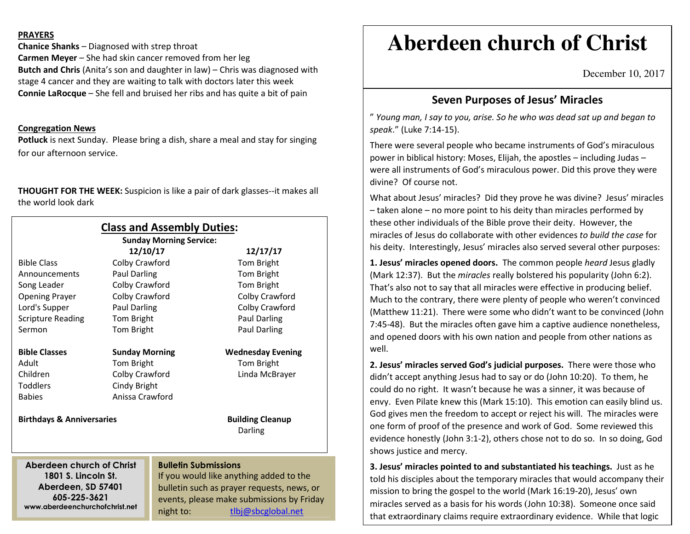#### **PRAYERS**

**Chanice Shanks** – Diagnosed with strep throat **Carmen Meyer** – She had skin cancer removed from her leg **Butch and Chris** (Anita's son and daughter in law) – Chris was diagnosed with stage 4 cancer and they are waiting to talk with doctors later this week **Connie LaRocque** – She fell and bruised her ribs and has quite a bit of pain

### **Congregation News**

 **Potluck** is next Sunday. Please bring a dish, share a meal and stay for singing for our afternoon service.

**THOUGHT FOR THE WEEK:** Suspicion is like a pair of dark glasses--it makes all the world look dark

|                                                                      |                       | <b>Class and Assembly Duties:</b><br><b>Sunday Morning Service:</b> |                                           |
|----------------------------------------------------------------------|-----------------------|---------------------------------------------------------------------|-------------------------------------------|
|                                                                      | 12/10/17              |                                                                     | 12/17/17                                  |
| <b>Bible Class</b>                                                   | Colby Crawford        |                                                                     | Tom Bright                                |
| Announcements                                                        | Paul Darling          |                                                                     | Tom Bright                                |
| Song Leader                                                          | Colby Crawford        |                                                                     | Tom Bright                                |
| <b>Opening Prayer</b>                                                | Colby Crawford        |                                                                     | Colby Crawford                            |
| Lord's Supper                                                        | <b>Paul Darling</b>   |                                                                     | Colby Crawford                            |
| <b>Scripture Reading</b>                                             | Tom Bright            |                                                                     | Paul Darling                              |
| Sermon                                                               | Tom Bright            |                                                                     | Paul Darling                              |
| <b>Bible Classes</b>                                                 | <b>Sunday Morning</b> |                                                                     | <b>Wednesday Evening</b>                  |
| Adult                                                                | Tom Bright            |                                                                     | Tom Bright                                |
| Children                                                             | Colby Crawford        |                                                                     | Linda McBrayer                            |
| Toddlers                                                             | Cindy Bright          |                                                                     |                                           |
| <b>Babies</b>                                                        | Anissa Crawford       |                                                                     |                                           |
| <b>Birthdays &amp; Anniversaries</b>                                 |                       |                                                                     | <b>Building Cleanup</b><br>Darling        |
|                                                                      |                       |                                                                     |                                           |
| Aberdeen church of Christ                                            |                       | <b>Bulletin Submissions</b>                                         |                                           |
| 1801 S. Lincoln St.                                                  |                       | If you would like anything added to the                             |                                           |
| Aberdeen, SD 57401<br>605-225-3621<br>www.aberdeenchurchofchrist.net |                       | bulletin such as prayer requests, news, or                          |                                           |
|                                                                      |                       |                                                                     | events, please make submissions by Friday |
|                                                                      |                       | night to:                                                           | tlbi@sbcglobal.net                        |

# **Aberdeen church of Christ**

December 10, 2017

## **Seven Purposes of Jesus' Miracles**

" *Young man, I say to you, arise. So he who was dead sat up and began to speak*." (Luke 7:14-15).

There were several people who became instruments of God's miraculous power in biblical history: Moses, Elijah, the apostles – including Judas – were all instruments of God's miraculous power. Did this prove they were divine? Of course not.

What about Jesus' miracles? Did they prove he was divine? Jesus' miracles – taken alone – no more point to his deity than miracles performed by these other individuals of the Bible prove their deity. However, the miracles of Jesus do collaborate with other evidences *to build the case* for his deity. Interestingly, Jesus' miracles also served several other purposes:

**1. Jesus' miracles opened doors.** The common people *heard* Jesus gladly (Mark 12:37). But the *miracles* really bolstered his popularity (John 6:2). That's also not to say that all miracles were effective in producing belief. Much to the contrary, there were plenty of people who weren't convinced (Matthew 11:21). There were some who didn't want to be convinced (John 7:45-48). But the miracles often gave him a captive audience nonetheless, and opened doors with his own nation and people from other nations as well.

**2. Jesus' miracles served God's judicial purposes.** There were those who didn't accept anything Jesus had to say or do (John 10:20). To them, he could do no right. It wasn't because he was a sinner, it was because of envy. Even Pilate knew this (Mark 15:10). This emotion can easily blind us. God gives men the freedom to accept or reject his will. The miracles were one form of proof of the presence and work of God. Some reviewed this evidence honestly (John 3:1-2), others chose not to do so. In so doing, God shows justice and mercy.

**3. Jesus' miracles pointed to and substantiated his teachings.** Just as he told his disciples about the temporary miracles that would accompany their mission to bring the gospel to the world (Mark 16:19-20), Jesus' own miracles served as a basis for his words (John 10:38). Someone once said that extraordinary claims require extraordinary evidence. While that logic